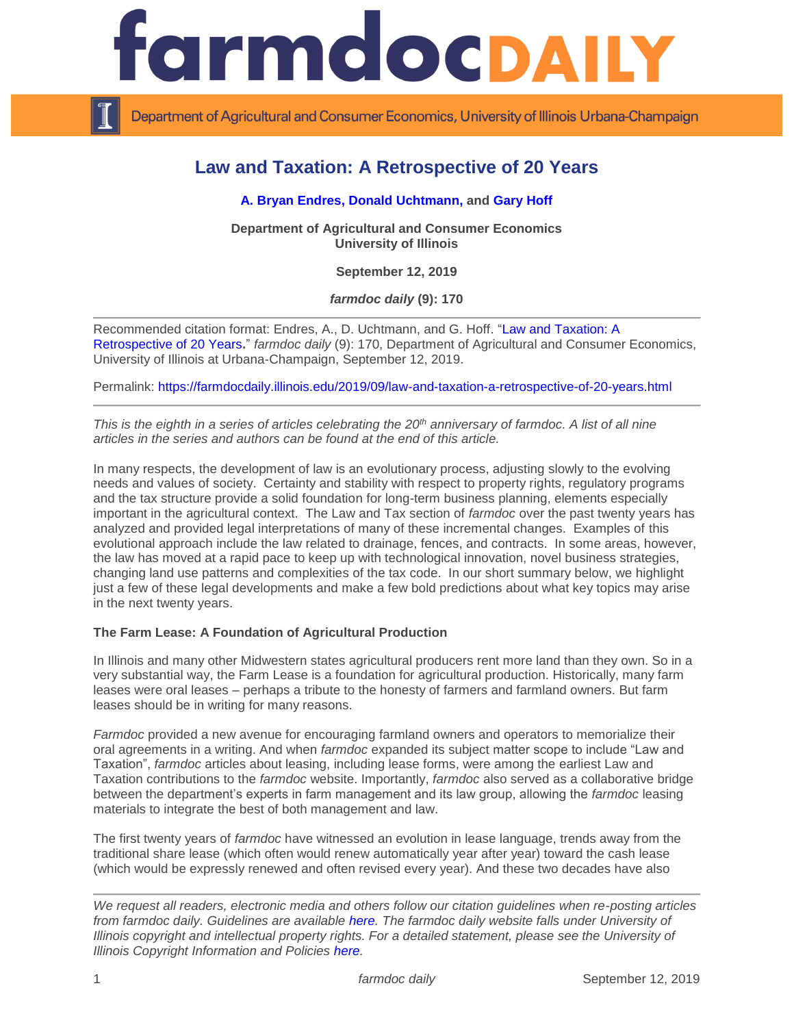

Department of Agricultural and Consumer Economics, University of Illinois Urbana-Champaign

# **Law and Taxation: A Retrospective of 20 Years**

### **[A. Bryan Endres,](https://ace.illinois.edu/directory/bendres) [Donald Uchtmann,](https://ace.illinois.edu/directory/uchtmann) and Gary Hoff**

**Department of Agricultural and Consumer Economics University of Illinois**

**September 12, 2019**

*farmdoc daily* **(9): 170**

Recommended citation format: Endres, A., D. Uchtmann, and G. Hoff. ["Law and Taxation: A](https://farmdocdaily.illinois.edu/2019/09/law-and-taxation-a-retrospective-of-20-years.html)  [Retrospective of 20 Years](https://farmdocdaily.illinois.edu/2019/09/law-and-taxation-a-retrospective-of-20-years.html)**.**" *farmdoc daily* (9): 170, Department of Agricultural and Consumer Economics, University of Illinois at Urbana-Champaign, September 12, 2019.

Permalink:<https://farmdocdaily.illinois.edu/2019/09/law-and-taxation-a-retrospective-of-20-years.html>

*This is the eighth in a series of articles celebrating the 20th anniversary of farmdoc. A list of all nine articles in the series and authors can be found at the end of this article.* 

In many respects, the development of law is an evolutionary process, adjusting slowly to the evolving needs and values of society. Certainty and stability with respect to property rights, regulatory programs and the tax structure provide a solid foundation for long-term business planning, elements especially important in the agricultural context. The Law and Tax section of *farmdoc* over the past twenty years has analyzed and provided legal interpretations of many of these incremental changes. Examples of this evolutional approach include the law related to drainage, fences, and contracts. In some areas, however, the law has moved at a rapid pace to keep up with technological innovation, novel business strategies, changing land use patterns and complexities of the tax code. In our short summary below, we highlight just a few of these legal developments and make a few bold predictions about what key topics may arise in the next twenty years.

#### **The Farm Lease: A Foundation of Agricultural Production**

In Illinois and many other Midwestern states agricultural producers rent more land than they own. So in a very substantial way, the Farm Lease is a foundation for agricultural production. Historically, many farm leases were oral leases – perhaps a tribute to the honesty of farmers and farmland owners. But farm leases should be in writing for many reasons.

*Farmdoc* provided a new avenue for encouraging farmland owners and operators to memorialize their oral agreements in a writing. And when *farmdoc* expanded its subject matter scope to include "Law and Taxation", *farmdoc* articles about leasing, including lease forms, were among the earliest Law and Taxation contributions to the *farmdoc* website. Importantly, *farmdoc* also served as a collaborative bridge between the department's experts in farm management and its law group, allowing the *farmdoc* leasing materials to integrate the best of both management and law.

The first twenty years of *farmdoc* have witnessed an evolution in lease language, trends away from the traditional share lease (which often would renew automatically year after year) toward the cash lease (which would be expressly renewed and often revised every year). And these two decades have also

*We request all readers, electronic media and others follow our citation guidelines when re-posting articles from farmdoc daily. Guidelines are available [here.](http://farmdocdaily.illinois.edu/citationguide.html) The farmdoc daily website falls under University of Illinois copyright and intellectual property rights. For a detailed statement, please see the University of Illinois Copyright Information and Policies [here.](http://www.cio.illinois.edu/policies/copyright/)*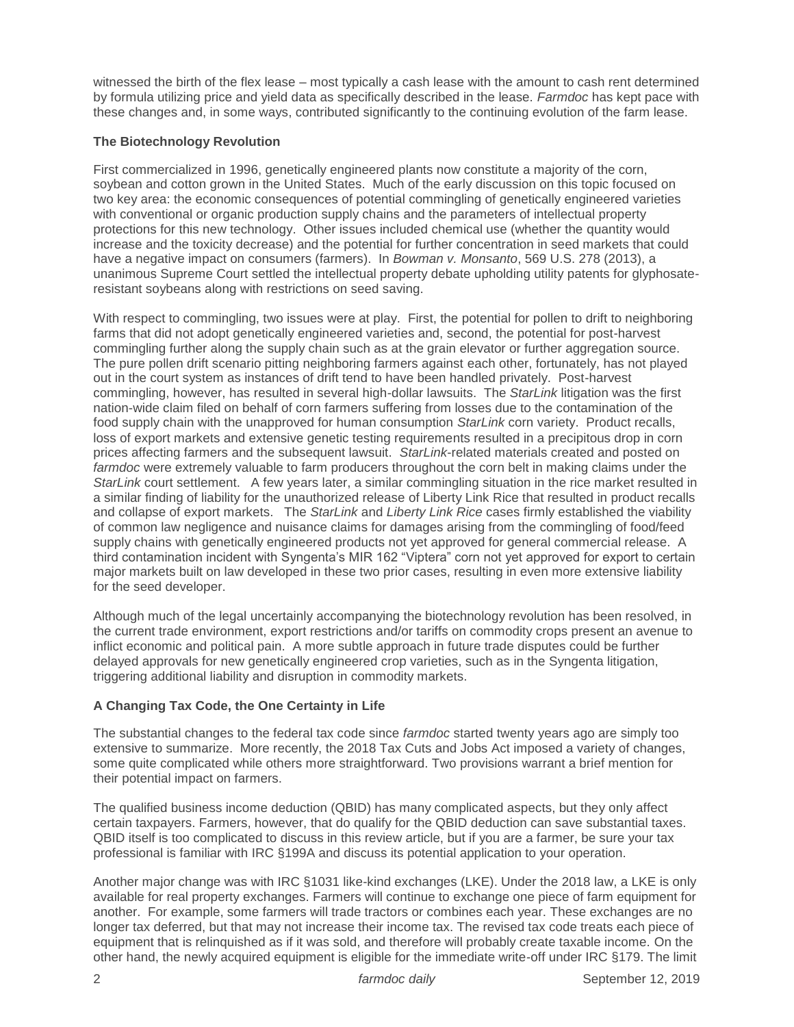witnessed the birth of the flex lease – most typically a cash lease with the amount to cash rent determined by formula utilizing price and yield data as specifically described in the lease. *Farmdoc* has kept pace with these changes and, in some ways, contributed significantly to the continuing evolution of the farm lease.

### **The Biotechnology Revolution**

First commercialized in 1996, genetically engineered plants now constitute a majority of the corn, soybean and cotton grown in the United States. Much of the early discussion on this topic focused on two key area: the economic consequences of potential commingling of genetically engineered varieties with conventional or organic production supply chains and the parameters of intellectual property protections for this new technology. Other issues included chemical use (whether the quantity would increase and the toxicity decrease) and the potential for further concentration in seed markets that could have a negative impact on consumers (farmers). In *Bowman v. Monsanto*, 569 U.S. 278 (2013), a unanimous Supreme Court settled the intellectual property debate upholding utility patents for glyphosateresistant soybeans along with restrictions on seed saving.

With respect to commingling, two issues were at play. First, the potential for pollen to drift to neighboring farms that did not adopt genetically engineered varieties and, second, the potential for post-harvest commingling further along the supply chain such as at the grain elevator or further aggregation source. The pure pollen drift scenario pitting neighboring farmers against each other, fortunately, has not played out in the court system as instances of drift tend to have been handled privately. Post-harvest commingling, however, has resulted in several high-dollar lawsuits. The *StarLink* litigation was the first nation-wide claim filed on behalf of corn farmers suffering from losses due to the contamination of the food supply chain with the unapproved for human consumption *StarLink* corn variety. Product recalls, loss of export markets and extensive genetic testing requirements resulted in a precipitous drop in corn prices affecting farmers and the subsequent lawsuit. *StarLink*-related materials created and posted on *farmdoc* were extremely valuable to farm producers throughout the corn belt in making claims under the *StarLink* court settlement. A few years later, a similar commingling situation in the rice market resulted in a similar finding of liability for the unauthorized release of Liberty Link Rice that resulted in product recalls and collapse of export markets. The *StarLink* and *Liberty Link Rice* cases firmly established the viability of common law negligence and nuisance claims for damages arising from the commingling of food/feed supply chains with genetically engineered products not yet approved for general commercial release. A third contamination incident with Syngenta's MIR 162 "Viptera" corn not yet approved for export to certain major markets built on law developed in these two prior cases, resulting in even more extensive liability for the seed developer.

Although much of the legal uncertainly accompanying the biotechnology revolution has been resolved, in the current trade environment, export restrictions and/or tariffs on commodity crops present an avenue to inflict economic and political pain. A more subtle approach in future trade disputes could be further delayed approvals for new genetically engineered crop varieties, such as in the Syngenta litigation, triggering additional liability and disruption in commodity markets.

## **A Changing Tax Code, the One Certainty in Life**

The substantial changes to the federal tax code since *farmdoc* started twenty years ago are simply too extensive to summarize. More recently, the 2018 Tax Cuts and Jobs Act imposed a variety of changes, some quite complicated while others more straightforward. Two provisions warrant a brief mention for their potential impact on farmers.

The qualified business income deduction (QBID) has many complicated aspects, but they only affect certain taxpayers. Farmers, however, that do qualify for the QBID deduction can save substantial taxes. QBID itself is too complicated to discuss in this review article, but if you are a farmer, be sure your tax professional is familiar with IRC §199A and discuss its potential application to your operation.

Another major change was with IRC §1031 like-kind exchanges (LKE). Under the 2018 law, a LKE is only available for real property exchanges. Farmers will continue to exchange one piece of farm equipment for another. For example, some farmers will trade tractors or combines each year. These exchanges are no longer tax deferred, but that may not increase their income tax. The revised tax code treats each piece of equipment that is relinquished as if it was sold, and therefore will probably create taxable income. On the other hand, the newly acquired equipment is eligible for the immediate write-off under IRC §179. The limit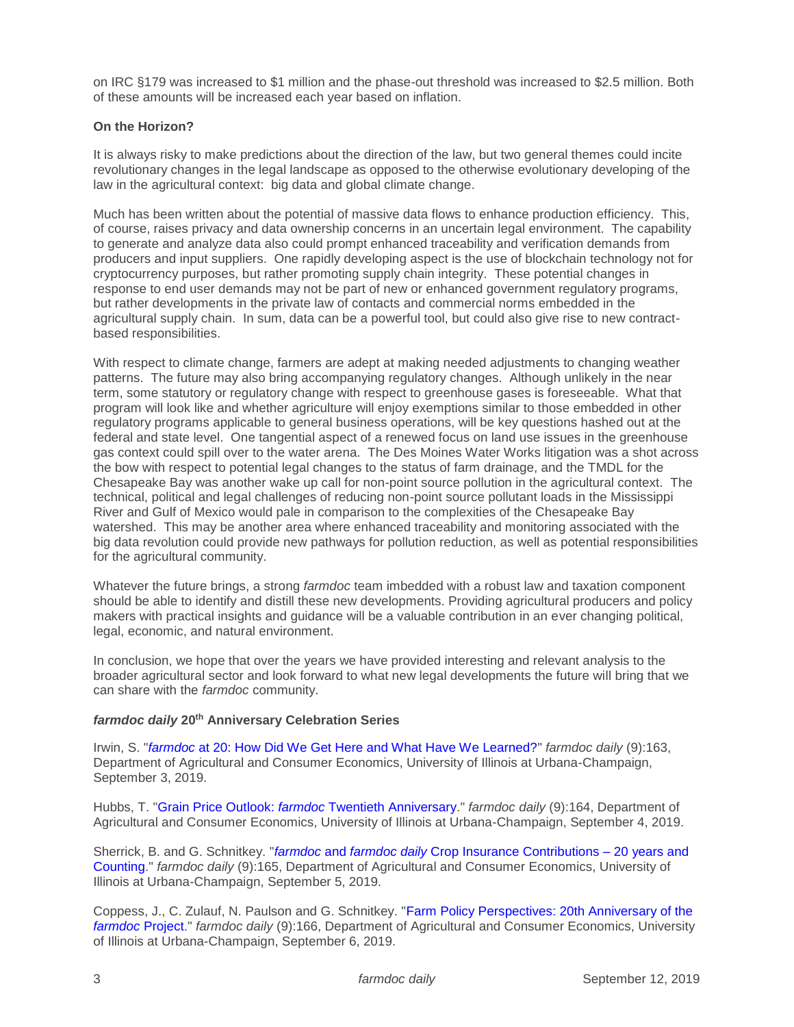on IRC §179 was increased to \$1 million and the phase-out threshold was increased to \$2.5 million. Both of these amounts will be increased each year based on inflation.

#### **On the Horizon?**

It is always risky to make predictions about the direction of the law, but two general themes could incite revolutionary changes in the legal landscape as opposed to the otherwise evolutionary developing of the law in the agricultural context: big data and global climate change.

Much has been written about the potential of massive data flows to enhance production efficiency. This, of course, raises privacy and data ownership concerns in an uncertain legal environment. The capability to generate and analyze data also could prompt enhanced traceability and verification demands from producers and input suppliers. One rapidly developing aspect is the use of blockchain technology not for cryptocurrency purposes, but rather promoting supply chain integrity. These potential changes in response to end user demands may not be part of new or enhanced government regulatory programs, but rather developments in the private law of contacts and commercial norms embedded in the agricultural supply chain. In sum, data can be a powerful tool, but could also give rise to new contractbased responsibilities.

With respect to climate change, farmers are adept at making needed adjustments to changing weather patterns. The future may also bring accompanying regulatory changes. Although unlikely in the near term, some statutory or regulatory change with respect to greenhouse gases is foreseeable. What that program will look like and whether agriculture will enjoy exemptions similar to those embedded in other regulatory programs applicable to general business operations, will be key questions hashed out at the federal and state level. One tangential aspect of a renewed focus on land use issues in the greenhouse gas context could spill over to the water arena. The Des Moines Water Works litigation was a shot across the bow with respect to potential legal changes to the status of farm drainage, and the TMDL for the Chesapeake Bay was another wake up call for non-point source pollution in the agricultural context. The technical, political and legal challenges of reducing non-point source pollutant loads in the Mississippi River and Gulf of Mexico would pale in comparison to the complexities of the Chesapeake Bay watershed. This may be another area where enhanced traceability and monitoring associated with the big data revolution could provide new pathways for pollution reduction, as well as potential responsibilities for the agricultural community.

Whatever the future brings, a strong *farmdoc* team imbedded with a robust law and taxation component should be able to identify and distill these new developments. Providing agricultural producers and policy makers with practical insights and guidance will be a valuable contribution in an ever changing political, legal, economic, and natural environment.

In conclusion, we hope that over the years we have provided interesting and relevant analysis to the broader agricultural sector and look forward to what new legal developments the future will bring that we can share with the *farmdoc* community.

#### *farmdoc daily* **20th Anniversary Celebration Series**

Irwin, S. "*farmdoc* [at 20: How Did We Get Here and What Have We Learned?"](https://farmdocdaily.illinois.edu/2019/09/farmdoc-at-20-how-did-we-get-here-and-what-have-we-learned.html) *farmdoc daily* (9):163, Department of Agricultural and Consumer Economics, University of Illinois at Urbana-Champaign, September 3, 2019.

Hubbs, T. "Grain Price Outlook: *farmdoc* [Twentieth Anniversary.](https://farmdocdaily.illinois.edu/2019/09/grain-price-outlook-farmdoc-twentieth-anniversary.html)" *farmdoc daily* (9):164, Department of Agricultural and Consumer Economics, University of Illinois at Urbana-Champaign, September 4, 2019.

Sherrick, B. and G. Schnitkey. "*farmdoc* and *farmdoc daily* [Crop Insurance Contributions –](https://farmdocdaily.illinois.edu/2019/09/farmdoc-and-farmdoc-daily-crop-insurance-contributions-20-years-and-counting.html) 20 years and [Counting.](https://farmdocdaily.illinois.edu/2019/09/farmdoc-and-farmdoc-daily-crop-insurance-contributions-20-years-and-counting.html)" *farmdoc daily* (9):165, Department of Agricultural and Consumer Economics, University of Illinois at Urbana-Champaign, September 5, 2019.

Coppess, J., C. Zulauf, N. Paulson and G. Schnitkey. ["Farm Policy Perspectives: 20th Anniversary of the](https://farmdocdaily.illinois.edu/2019/09/farm-policy-perspectives-20th-anniversary-of-the-farmdoc-project.html)  *[farmdoc](https://farmdocdaily.illinois.edu/2019/09/farm-policy-perspectives-20th-anniversary-of-the-farmdoc-project.html)* Project." *farmdoc daily* (9):166, Department of Agricultural and Consumer Economics, University of Illinois at Urbana-Champaign, September 6, 2019.